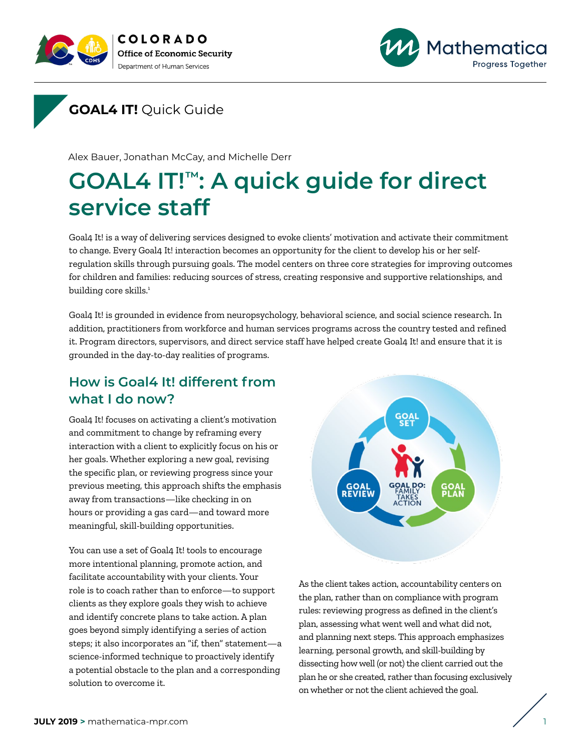





Alex Bauer, Jonathan McCay, and Michelle Derr

# **GOAL4 IT!™: A quick guide for direct service staff**

Goal4 It! is a way of delivering services designed to evoke clients' motivation and activate their commitment to change. Every Goal4 It! interaction becomes an opportunity for the client to develop his or her selfregulation skills through pursuing goals. The model centers on three core strategies for improving outcomes for children and families: reducing sources of stress, creating responsive and supportive relationships, and building core skills.<sup>1</sup>

Goal4 It! is grounded in evidence from neuropsychology, behavioral science, and social science research. In addition, practitioners from workforce and human services programs across the country tested and refined it. Program directors, supervisors, and direct service staff have helped create Goal4 It! and ensure that it is grounded in the day-to-day realities of programs.

# **How is Goal4 It! different from what I do now?**

Goal4 It! focuses on activating a client's motivation and commitment to change by reframing every interaction with a client to explicitly focus on his or her goals. Whether exploring a new goal, revising the specific plan, or reviewing progress since your previous meeting, this approach shifts the emphasis away from transactions—like checking in on hours or providing a gas card—and toward more meaningful, skill-building opportunities.

You can use a set of Goal4 It! tools to encourage more intentional planning, promote action, and facilitate accountability with your clients. Your role is to coach rather than to enforce—to support clients as they explore goals they wish to achieve and identify concrete plans to take action. A plan goes beyond simply identifying a series of action steps; it also incorporates an "if, then" statement—a science-informed technique to proactively identify a potential obstacle to the plan and a corresponding solution to overcome it.



As the client takes action, accountability centers on the plan, rather than on compliance with program rules: reviewing progress as defined in the client's plan, assessing what went well and what did not, and planning next steps. This approach emphasizes learning, personal growth, and skill-building by dissecting how well (or not) the client carried out the plan he or she created, rather than focusing exclusively on whether or not the client achieved the goal.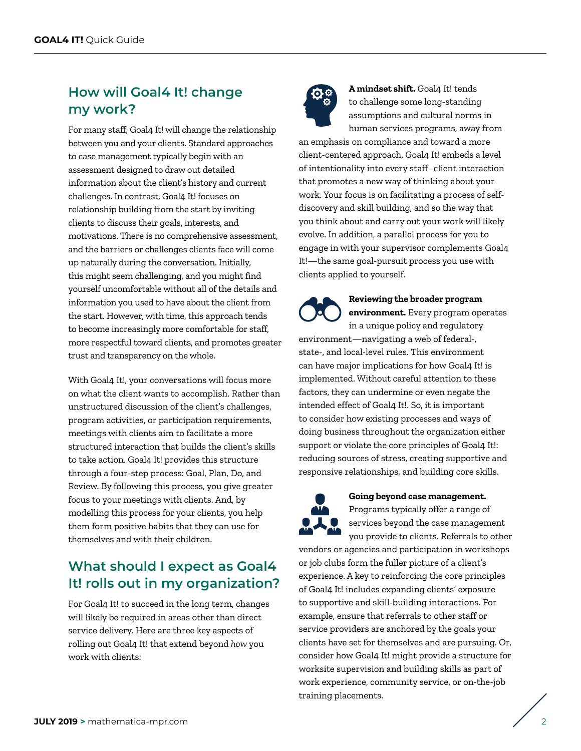# **How will Goal4 It! change my work?**

For many staff, Goal4 It! will change the relationship between you and your clients. Standard approaches to case management typically begin with an assessment designed to draw out detailed information about the client's history and current challenges. In contrast, Goal4 It! focuses on relationship building from the start by inviting clients to discuss their goals, interests, and motivations. There is no comprehensive assessment, and the barriers or challenges clients face will come up naturally during the conversation. Initially, this might seem challenging, and you might find yourself uncomfortable without all of the details and information you used to have about the client from the start. However, with time, this approach tends to become increasingly more comfortable for staff, more respectful toward clients, and promotes greater trust and transparency on the whole.

With Goal4 It!, your conversations will focus more on what the client wants to accomplish. Rather than unstructured discussion of the client's challenges, program activities, or participation requirements, meetings with clients aim to facilitate a more structured interaction that builds the client's skills to take action. Goal4 It! provides this structure through a four-step process: Goal, Plan, Do, and Review. By following this process, you give greater focus to your meetings with clients. And, by modelling this process for your clients, you help them form positive habits that they can use for themselves and with their children.

# **What should I expect as Goal4 It! rolls out in my organization?**

For Goal4 It! to succeed in the long term, changes will likely be required in areas other than direct service delivery. Here are three key aspects of rolling out Goal4 It! that extend beyond *how* you work with clients:



A mindset shift. Goal4 It! tends to challenge some long-standing assumptions and cultural norms in human services programs, away from

an emphasis on compliance and toward a more client-centered approach. Goal4 It! embeds a level of intentionality into every staff–client interaction that promotes a new way of thinking about your work. Your focus is on facilitating a process of selfdiscovery and skill building, and so the way that you think about and carry out your work will likely evolve. In addition, a parallel process for you to engage in with your supervisor complements Goal4 It!—the same goal-pursuit process you use with clients applied to yourself.

#### **Reviewing the broader program environment.** Every program operates in a unique policy and regulatory environment—navigating a web of federal-, state-, and local-level rules. This environment can have major implications for how Goal4 It! is implemented. Without careful attention to these factors, they can undermine or even negate the intended effect of Goal4 It!. So, it is important to consider how existing processes and ways of doing business throughout the organization either support or violate the core principles of Goal4 It!: reducing sources of stress, creating supportive and responsive relationships, and building core skills.



#### **Going beyond case management.**

Programs typically offer a range of services beyond the case management you provide to clients. Referrals to other

vendors or agencies and participation in workshops or job clubs form the fuller picture of a client's experience. A key to reinforcing the core principles of Goal4 It! includes expanding clients' exposure to supportive and skill-building interactions. For example, ensure that referrals to other staff or service providers are anchored by the goals your clients have set for themselves and are pursuing. Or, consider how Goal4 It! might provide a structure for worksite supervision and building skills as part of work experience, community service, or on-the-job training placements.